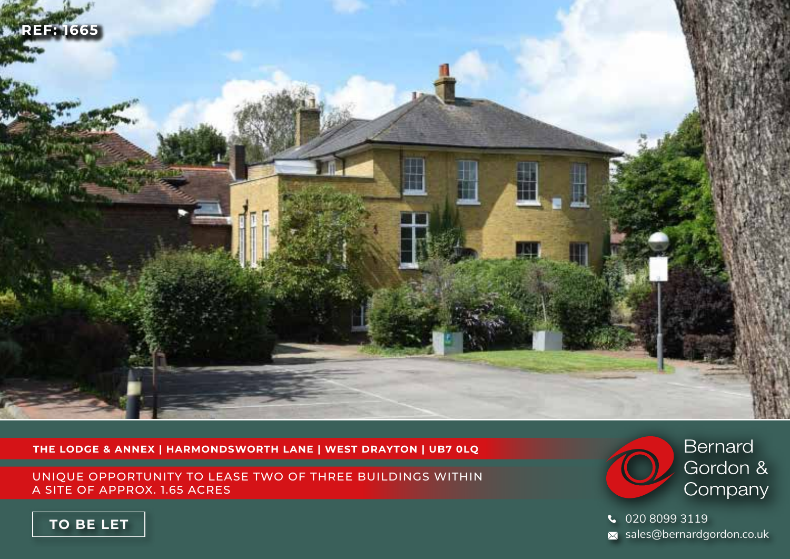

**THE LODGE & ANNEX | HARMONDSWORTH LANE | WEST DRAYTON | UB7 0LQ**

UNIQUE OPPORTUNITY TO LEASE TWO OF THREE BUILDINGS WITHIN A SITE OF APPROX. 1.65 ACRES



020 8099 3119  $\overline{\mathsf{x}}$  sales@bernardgordon.co.uk

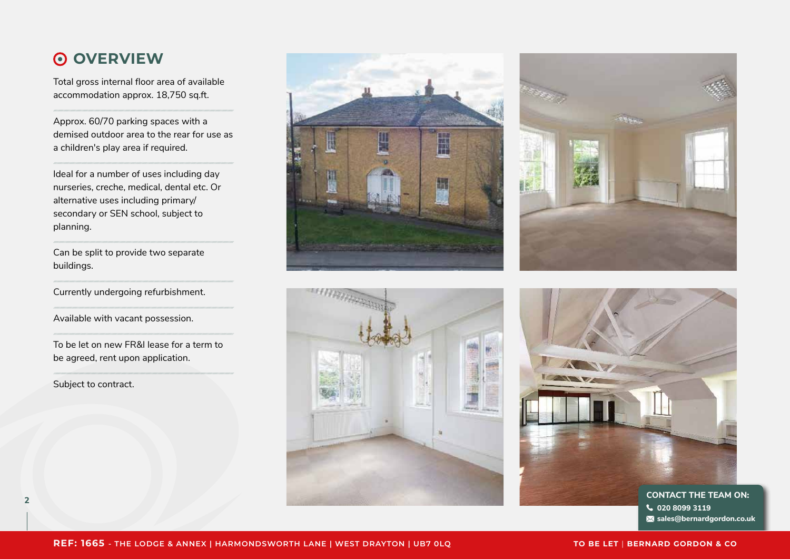## **OVERVIEW**

Total gross internal floor area of available accommodation approx. 18,750 sq.ft.

Approx. 60/70 parking spaces with a demised outdoor area to the rear for use as a children's play area if required.

Ideal for a number of uses including day nurseries, creche, medical, dental etc. Or alternative uses including primary/ secondary or SEN school, subject to planning.

Can be split to provide two separate buildings.

Currently undergoing refurbishment.

Available with vacant possession.

To be let on new FR&I lease for a term to be agreed, rent upon application.

Subject to contract.









**020 8099 3119 sales@bernardgordon.co.uk**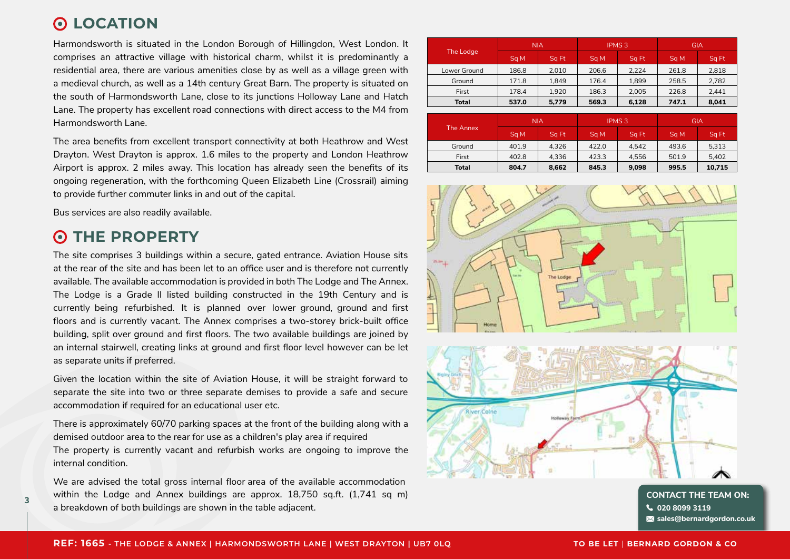## **LOCATION**

Harmondsworth is situated in the London Borough of Hillingdon, West London. It comprises an attractive village with historical charm, whilst it is predominantly a residential area, there are various amenities close by as well as a village green with a medieval church, as well as a 14th century Great Barn. The property is situated on the south of Harmondsworth Lane, close to its junctions Holloway Lane and Hatch Lane. The property has excellent road connections with direct access to the M4 from Harmondsworth Lane.

The area benefits from excellent transport connectivity at both Heathrow and West Drayton. West Drayton is approx. 1.6 miles to the property and London Heathrow Airport is approx. 2 miles away. This location has already seen the benefits of its ongoing regeneration, with the forthcoming Queen Elizabeth Line (Crossrail) aiming to provide further commuter links in and out of the capital.

Bus services are also readily available.

#### **THE PROPERTY**  $\odot$

**3**

The site comprises 3 buildings within a secure, gated entrance. Aviation House sits at the rear of the site and has been let to an office user and is therefore not currently available. The available accommodation is provided in both The Lodge and The Annex. The Lodge is a Grade II listed building constructed in the 19th Century and is currently being refurbished. It is planned over lower ground, ground and first floors and is currently vacant. The Annex comprises a two-storey brick-built office building, split over ground and first floors. The two available buildings are joined by an internal stairwell, creating links at ground and first floor level however can be let as separate units if preferred.

Given the location within the site of Aviation House, it will be straight forward to separate the site into two or three separate demises to provide a safe and secure accommodation if required for an educational user etc.

There is approximately 60/70 parking spaces at the front of the building along with a demised outdoor area to the rear for use as a children's play area if required The property is currently vacant and refurbish works are ongoing to improve the internal condition.

We are advised the total gross internal floor area of the available accommodation within the Lodge and Annex buildings are approx. 18,750 sq.ft. (1,741 sq m) a breakdown of both buildings are shown in the table adjacent.

| The Lodge    | <b>NIA</b> |       | <b>IPMS 3</b> |       | GIA   |                  |
|--------------|------------|-------|---------------|-------|-------|------------------|
|              | Sq M       | Sq Ft | Sq M          | Sq Ft | Sq M  | Sq <sub>Ft</sub> |
| Lower Ground | 186.8      | 2.010 | 206.6         | 2.224 | 261.8 | 2,818            |
| Ground       | 171.8      | 1.849 | 176.4         | 1.899 | 258.5 | 2,782            |
| First        | 178.4      | 1.920 | 186.3         | 2.005 | 226.8 | 2,441            |
| <b>Total</b> | 537.0      | 5,779 | 569.3         | 6,128 | 747.1 | 8,041            |

| The Annex | <b>NIA</b> |       | <b>IPMS 3</b> |       | <b>GIA</b> |        |
|-----------|------------|-------|---------------|-------|------------|--------|
|           | Sq M       | Sa Ft | Sa M          | Sa Ft | Sa M       | Sq Ft  |
| Ground    | 401.9      | 4.326 | 422.0         | 4.542 | 493.6      | 5.313  |
| First     | 402.8      | 4.336 | 423.3         | 4.556 | 501.9      | 5.402  |
| Total     | 804.7      | 8,662 | 845.3         | 9.098 | 995.5      | 10,715 |



**CONTACT THE TEAM ON: 020 8099 3119 sales@bernardgordon.co.uk**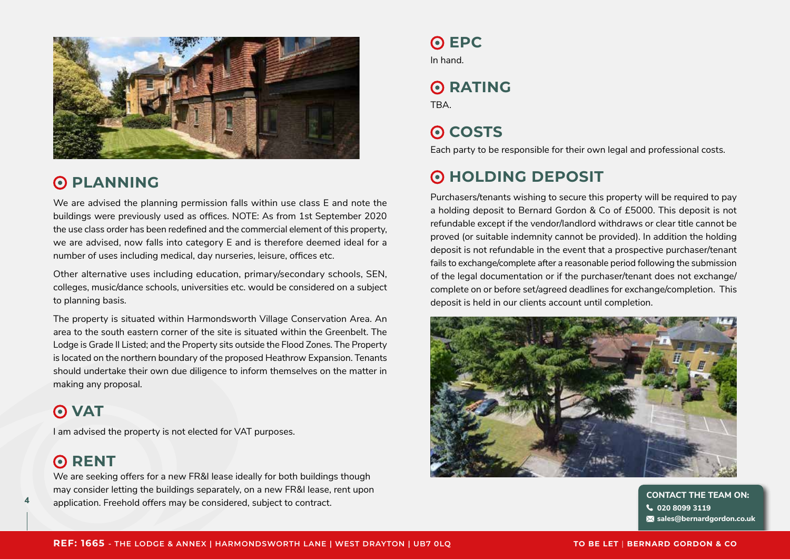

## **O PLANNING**

We are advised the planning permission falls within use class E and note the buildings were previously used as offices. NOTE: As from 1st September 2020 the use class order has been redefined and the commercial element of this property, we are advised, now falls into category E and is therefore deemed ideal for a number of uses including medical, day nurseries, leisure, offices etc.

Other alternative uses including education, primary/secondary schools, SEN, colleges, music/dance schools, universities etc. would be considered on a subject to planning basis.

The property is situated within Harmondsworth Village Conservation Area. An area to the south eastern corner of the site is situated within the Greenbelt. The Lodge is Grade II Listed; and the Property sits outside the Flood Zones. The Property is located on the northern boundary of the proposed Heathrow Expansion. Tenants should undertake their own due diligence to inform themselves on the matter in making any proposal.

## **O** VAT

I am advised the property is not elected for VAT purposes.

## **O**RENT

We are seeking offers for a new FR&I lease ideally for both buildings though may consider letting the buildings separately, on a new FR&I lease, rent upon application. Freehold offers may be considered, subject to contract.<br> **4 application. Freehold offers may be considered, subject to contract.** 

## **O** EPC

In hand.

# **O**RATING

TBA.

# **O** COSTS

Each party to be responsible for their own legal and professional costs.

## **HOLDING DEPOSIT**

Purchasers/tenants wishing to secure this property will be required to pay a holding deposit to Bernard Gordon & Co of £5000. This deposit is not refundable except if the vendor/landlord withdraws or clear title cannot be proved (or suitable indemnity cannot be provided). In addition the holding deposit is not refundable in the event that a prospective purchaser/tenant fails to exchange/complete after a reasonable period following the submission of the legal documentation or if the purchaser/tenant does not exchange/ complete on or before set/agreed deadlines for exchange/completion. This deposit is held in our clients account until completion.



**020 8099 3119 sales@bernardgordon.co.uk**